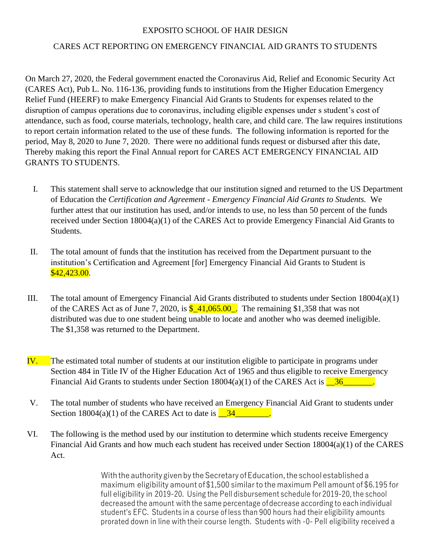## EXPOSITO SCHOOL OF HAIR DESIGN

## CARES ACT REPORTING ON EMERGENCY FINANCIAL AID GRANTS TO STUDENTS

On March 27, 2020, the Federal government enacted the Coronavirus Aid, Relief and Economic Security Act (CARES Act), Pub L. No. 116-136, providing funds to institutions from the Higher Education Emergency Relief Fund (HEERF) to make Emergency Financial Aid Grants to Students for expenses related to the disruption of campus operations due to coronavirus, including eligible expenses under s student's cost of attendance, such as food, course materials, technology, health care, and child care. The law requires institutions to report certain information related to the use of these funds. The following information is reported for the period, May 8, 2020 to June 7, 2020. There were no additional funds request or disbursed after this date, Thereby making this report the Final Annual report for CARES ACT EMERGENCY FINANCIAL AID GRANTS TO STUDENTS.

- I. This statement shall serve to acknowledge that our institution signed and returned to the US Department of Education the *Certification and Agreement - Emergency Financial Aid Grants to Students.* We further attest that our institution has used, and/or intends to use, no less than 50 percent of the funds received under Section 18004(a)(1) of the CARES Act to provide Emergency Financial Aid Grants to Students.
- II. The total amount of funds that the institution has received from the Department pursuant to the institution's Certification and Agreement [for] Emergency Financial Aid Grants to Student is  $$42,423.00.$
- III. The total amount of Emergency Financial Aid Grants distributed to students under Section 18004(a)(1) of the CARES Act as of June 7, 2020, is  $\frac{$-41,065.00}{...}$ . The remaining \$1,358 that was not distributed was due to one student being unable to locate and another who was deemed ineligible. The \$1,358 was returned to the Department.
- IV. The estimated total number of students at our institution eligible to participate in programs under Section 484 in Title IV of the Higher Education Act of 1965 and thus eligible to receive Emergency Financial Aid Grants to students under Section  $18004(a)(1)$  of the CARES Act is  $\frac{\ }{36}$
- V. The total number of students who have received an Emergency Financial Aid Grant to students under Section  $18004(a)(1)$  of the CARES Act to date is  $\boxed{34}$
- VI. The following is the method used by our institution to determine which students receive Emergency Financial Aid Grants and how much each student has received under Section 18004(a)(1) of the CARES Act.

With the authority given by the Secretary of Education, the school established a maximum eligibility amount of\$1,500 similarto the maximum Pell amount of\$6.195 for full eligibility in 2019-20. Using the Pell disbursement schedule for 2019-20, the school decreased the amount with the same percentage ofdecrease according to each individual student's EFC. Students in a course ofless than 900 hours had their eligibility amounts prorated down in line with their course length. Students with -0- Pell eligibility received a